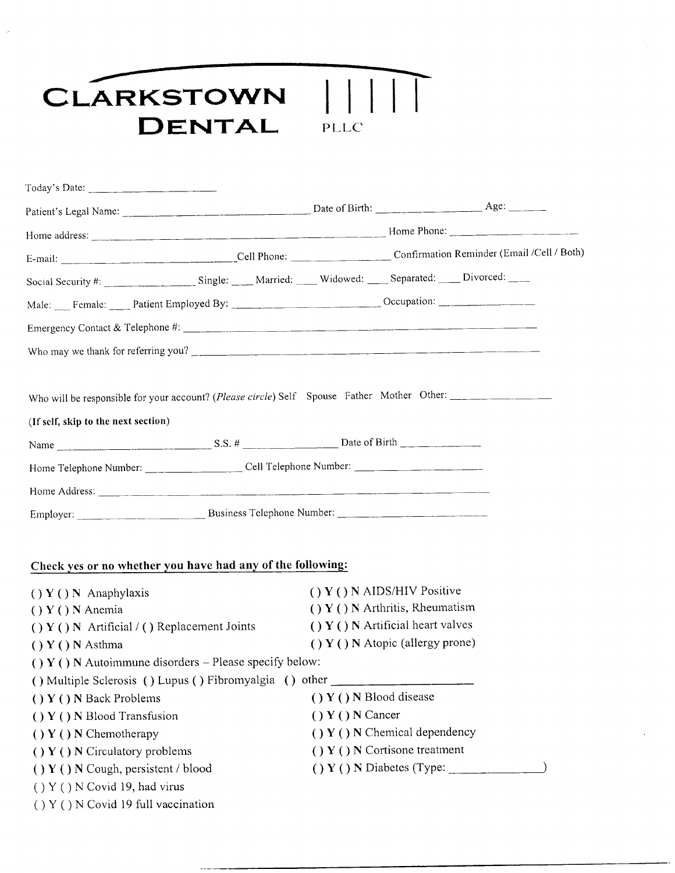## CLARKSTOWN || DENTAL PL LC

| $\text{Today's Date:}$                                                                     |                            |                                       |                           |  |
|--------------------------------------------------------------------------------------------|----------------------------|---------------------------------------|---------------------------|--|
|                                                                                            |                            |                                       |                           |  |
|                                                                                            |                            |                                       |                           |  |
| E-mail: Cell Phone: Cell Phone: Confirmation Reminder (Email /Cell / Both)                 |                            |                                       |                           |  |
| Social Security #: Single: Married: Widowed: Separated: Divorced: __                       |                            |                                       |                           |  |
| Male: Female: Patient Employed By: Cocupation: Cocupation:                                 |                            |                                       |                           |  |
|                                                                                            |                            |                                       |                           |  |
| Who may we thank for referring you?                                                        |                            |                                       |                           |  |
| Who will be responsible for your account? (Please circle) Self Spouse Father Mother Other: |                            |                                       |                           |  |
| (If self, skip to the next section)                                                        |                            |                                       |                           |  |
|                                                                                            |                            |                                       |                           |  |
|                                                                                            |                            |                                       |                           |  |
|                                                                                            |                            |                                       |                           |  |
|                                                                                            |                            |                                       |                           |  |
| Check yes or no whether you have had any of the following:                                 |                            |                                       |                           |  |
| $( ) Y () N$ Anaphylaxis                                                                   |                            | $( ) Y () N$ AIDS/HIV Positive        |                           |  |
| $() Y () N$ Anemia                                                                         |                            | $() Y () N$ Arthritis, Rheumatism     |                           |  |
| $( ) Y () N$ Artificial $/ ( )$ Replacement Joints                                         |                            | $( ) Y ( ) N$ Artificial heart valves |                           |  |
| $() Y () N$ Asthma                                                                         |                            | $( ) Y ( ) N$ Atopic (allergy prone)  |                           |  |
| () $Y($ ) N Autoimmune disorders – Please specify below:                                   |                            |                                       |                           |  |
| () Multiple Sclerosis () Lupus () Fibromyalgia () other                                    |                            |                                       |                           |  |
| $() Y ()$ N Back Problems                                                                  | $( ) Y ()$ N Blood disease |                                       |                           |  |
| () Y () N Blood Transfusion                                                                |                            | $() Y () N$ Cancer                    |                           |  |
| $( ) Y ( ) N$ Chemotherapy                                                                 |                            | $( ) Y ( ) N$ Chemical dependency     |                           |  |
| $( ) Y () N$ Circulatory problems                                                          |                            | $( ) Y ( ) N$ Cortisone treatment     |                           |  |
| $( ) Y () N$ Cough, persistent / blood                                                     |                            |                                       | () Y () N Diabetes (Type: |  |
| $( ) Y ( ) N$ Covid 19, had virus                                                          |                            |                                       |                           |  |
| $($ $)$ Y $($ $)$ N Covid 19 full vaccination                                              |                            |                                       |                           |  |